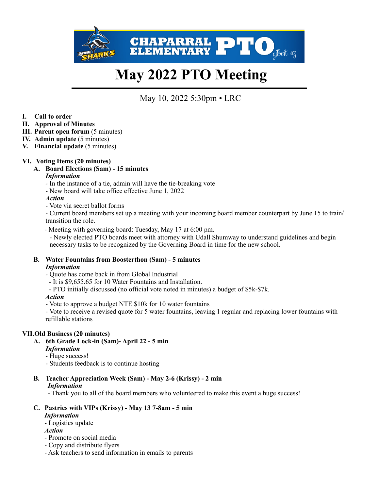

# **May 2022 PTO Meeting**

May 10, 2022 5:30pm • LRC

- **I. Call to order**
- **II. Approval of Minutes**
- **III.** Parent open forum  $(5 \text{ minutes})$
- **IV. Admin update** (5 minutes)
- **V. Financial update** (5 minutes)

## **VI. Voting Items (20 minutes)**

**A. Board Elections (Sam) - 15 minutes**

## *Information*

- In the instance of a tie, admin will have the tie-breaking vote
- New board will take office effective June 1, 2022

## *Action*

- Vote via secret ballot forms

- Current board members set up a meeting with your incoming board member counterpart by June 15 to train/ transition the role.

- Meeting with governing board: Tuesday, May 17 at 6:00 pm.

 - Newly elected PTO boards meet with attorney with Udall Shumway to understand guidelines and begin necessary tasks to be recognized by the Governing Board in time for the new school.

#### **B. Water Fountains from Boosterthon (Sam) - 5 minutes** *Information*

*-* Quote has come back in from Global Industrial

- It is \$9,655.65 for 10 Water Fountains and Installation.
- PTO initially discussed (no official vote noted in minutes) a budget of \$5k-\$7k.

## *Action*

- Vote to approve a budget NTE \$10k for 10 water fountains

- Vote to receive a revised quote for 5 water fountains, leaving 1 regular and replacing lower fountains with refillable stations

## **VII.Old Business (20 minutes)**

- **A. 6th Grade Lock-in (Sam)- April 22 5 min** *Information*
	- Huge success!
	- Students feedback is to continue hosting
- **B. Teacher Appreciation Week (Sam) May 2-6 (Krissy) 2 min**

## *Information*

- Thank you to all of the board members who volunteered to make this event a huge success!

# **C. Pastries with VIPs (Krissy) - May 13 7-8am - 5 min**

## *Information*

*-* Logistics update

- *Action*
- Promote on social media
- Copy and distribute flyers
- Ask teachers to send information in emails to parents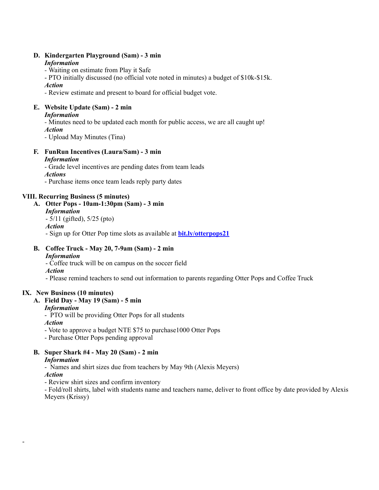#### **D. Kindergarten Playground (Sam) - 3 min** *Information*

*-* Waiting on estimate from Play it Safe

- PTO initially discussed (no official vote noted in minutes) a budget of \$10k-\$15k.

*Action*

*-* Review estimate and present to board for official budget vote.

# **E. Website Update (Sam) - 2 min**

## *Information*

*-* Minutes need to be updated each month for public access, we are all caught up! *Action*

*-* Upload May Minutes (Tina)

#### **F. FunRun Incentives (Laura/Sam) - 3 min** *Information*

- Grade level incentives are pending dates from team leads

## *Actions*

- Purchase items once team leads reply party dates

## **VIII. Recurring Business (5 minutes)**

## **A. Otter Pops - 10am-1:30pm (Sam) - 3 min**

- *Information*
- 5/11 (gifted), 5/25 (pto)
- *Action*

- Sign up for Otter Pop time slots as available at **[bit.ly/otterpops21](http://bit.ly/otterpops21)**

#### **B. Coffee Truck - May 20, 7-9am (Sam) - 2 min** *Information*

- Coffee truck will be on campus on the soccer field

*Action*

- Please remind teachers to send out information to parents regarding Otter Pops and Coffee Truck

## **IX. New Business (10 minutes)**

**A. Field Day - May 19 (Sam) - 5 min**

## *Information*

-

- PTO will be providing Otter Pops for all students *Action*

- Vote to approve a budget NTE \$75 to purchase1000 Otter Pops

- Purchase Otter Pops pending approval

#### **B. Super Shark #4 - May 20 (Sam) - 2 min** *Information*

- Names and shirt sizes due from teachers by May 9th (Alexis Meyers) *Action*

- Review shirt sizes and confirm inventory

- Fold/roll shirts, label with students name and teachers name, deliver to front office by date provided by Alexis Meyers (Krissy)